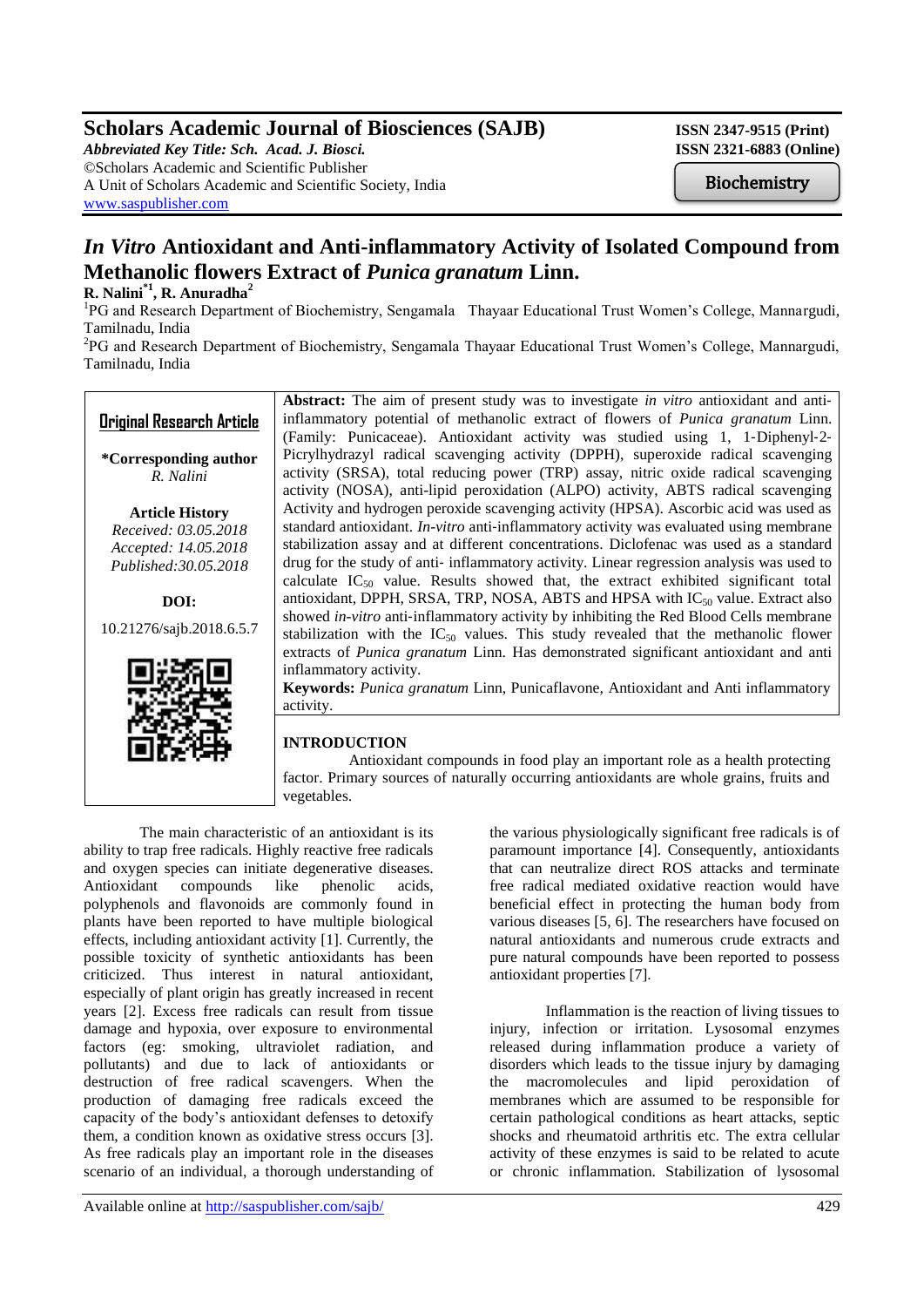# **Scholars Academic Journal of Biosciences (SAJB)** ISSN 2347-9515 (Print)

*Abbreviated Key Title: Sch. Acad. J. Biosci.* **ISSN 2321-6883 (Online)** ©Scholars Academic and Scientific Publisher A Unit of Scholars Academic and Scientific Society, India [www.saspublisher.com](http://www.saspublisher.com/)

Biochemistry

# *In Vitro* **Antioxidant and Anti-inflammatory Activity of Isolated Compound from Methanolic flowers Extract of** *Punica granatum* **Linn.**

# **R. Nalini\*1, R. Anuradha<sup>2</sup>**

<sup>1</sup>PG and Research Department of Biochemistry, Sengamala Thayaar Educational Trust Women's College, Mannargudi, Tamilnadu, India

<sup>2</sup>PG and Research Department of Biochemistry, Sengamala Thayaar Educational Trust Women's College, Mannargudi, Tamilnadu, India

# **Original Research Article**

**\*Corresponding author** *R. Nalini*

**Article History** *Received: 03.05.2018 Accepted: 14.05.2018 Published:30.05.2018*

**DOI:**

10.21276/sajb.2018.6.5.7



**Abstract:** The aim of present study was to investigate *in vitro* antioxidant and anti‐ inflammatory potential of methanolic extract of flowers of *Punica granatum* Linn. (Family: Punicaceae). Antioxidant activity was studied using 1, 1‐Diphenyl‐2‐ Picrylhydrazyl radical scavenging activity (DPPH), superoxide radical scavenging activity (SRSA), total reducing power (TRP) assay, nitric oxide radical scavenging activity (NOSA), anti-lipid peroxidation (ALPO) activity, ABTS radical scavenging Activity and hydrogen peroxide scavenging activity (HPSA). Ascorbic acid was used as standard antioxidant. *In-vitro* anti-inflammatory activity was evaluated using membrane stabilization assay and at different concentrations. Diclofenac was used as a standard drug for the study of anti‐ inflammatory activity. Linear regression analysis was used to calculate  $IC_{50}$  value. Results showed that, the extract exhibited significant total antioxidant, DPPH, SRSA, TRP, NOSA, ABTS and HPSA with  $IC_{50}$  value. Extract also showed *in-vitro* anti-inflammatory activity by inhibiting the Red Blood Cells membrane stabilization with the  $IC_{50}$  values. This study revealed that the methanolic flower extracts of *Punica granatum* Linn. Has demonstrated significant antioxidant and anti inflammatory activity.

**Keywords:** *Punica granatum* Linn, Punicaflavone, Antioxidant and Anti inflammatory activity.

## **INTRODUCTION**

 Antioxidant compounds in food play an important role as a health protecting factor. Primary sources of naturally occurring antioxidants are whole grains, fruits and vegetables.

The main characteristic of an antioxidant is its ability to trap free radicals. Highly reactive free radicals and oxygen species can initiate degenerative diseases. Antioxidant compounds like phenolic acids, polyphenols and flavonoids are commonly found in plants have been reported to have multiple biological effects, including antioxidant activity [1]. Currently, the possible toxicity of synthetic antioxidants has been criticized. Thus interest in natural antioxidant, especially of plant origin has greatly increased in recent years [2]. Excess free radicals can result from tissue damage and hypoxia, over exposure to environmental factors (eg: smoking, ultraviolet radiation, and pollutants) and due to lack of antioxidants or destruction of free radical scavengers. When the production of damaging free radicals exceed the capacity of the body's antioxidant defenses to detoxify them, a condition known as oxidative stress occurs [3]. As free radicals play an important role in the diseases scenario of an individual, a thorough understanding of the various physiologically significant free radicals is of paramount importance [4]. Consequently, antioxidants that can neutralize direct ROS attacks and terminate free radical mediated oxidative reaction would have beneficial effect in protecting the human body from various diseases [5, 6]. The researchers have focused on natural antioxidants and numerous crude extracts and pure natural compounds have been reported to possess antioxidant properties [7].

Inflammation is the reaction of living tissues to injury, infection or irritation. Lysosomal enzymes released during inflammation produce a variety of disorders which leads to the tissue injury by damaging the macromolecules and lipid peroxidation of membranes which are assumed to be responsible for certain pathological conditions as heart attacks, septic shocks and rheumatoid arthritis etc. The extra cellular activity of these enzymes is said to be related to acute or chronic inflammation. Stabilization of lysosomal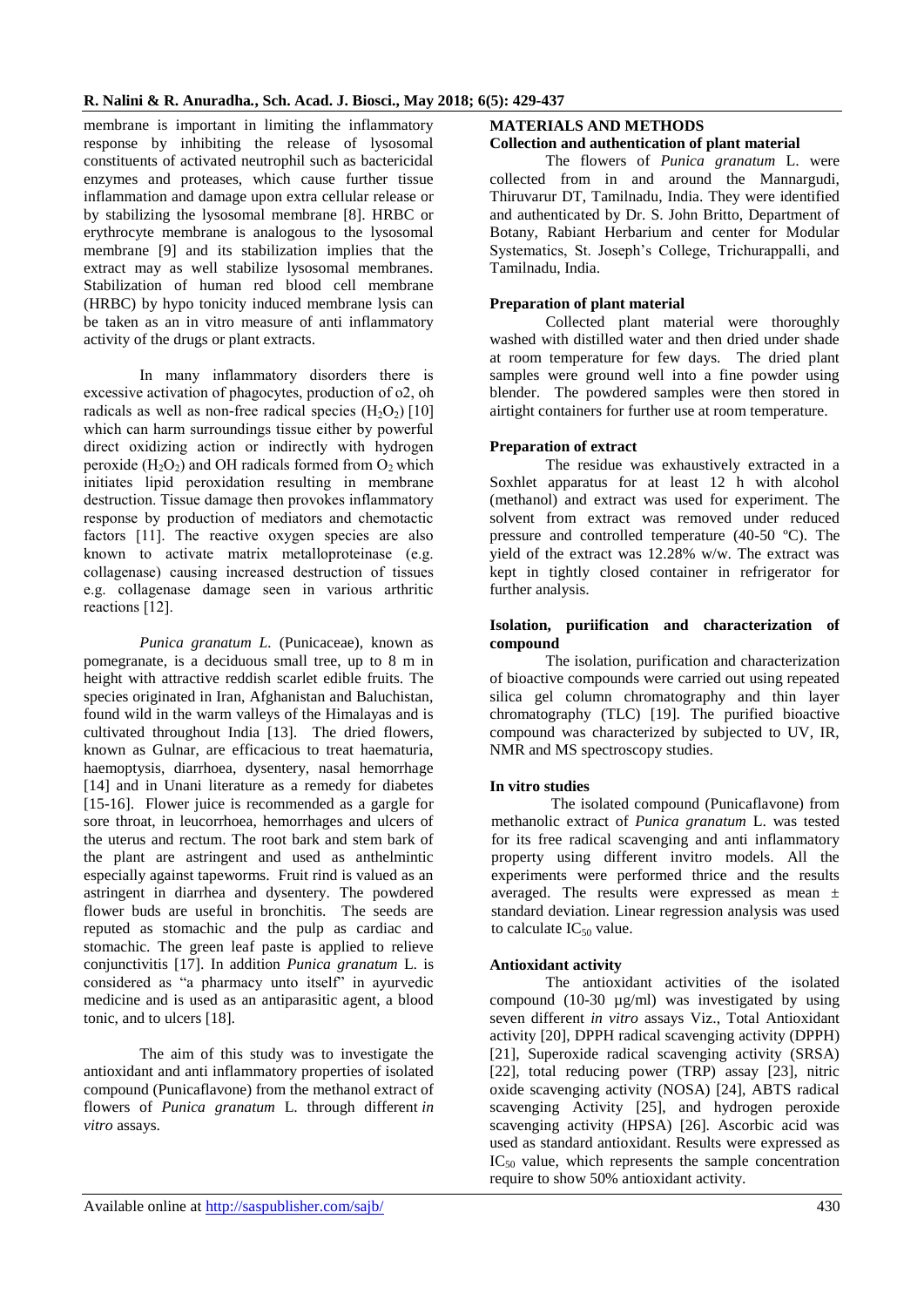membrane is important in limiting the inflammatory response by inhibiting the release of lysosomal constituents of activated neutrophil such as bactericidal enzymes and proteases, which cause further tissue inflammation and damage upon extra cellular release or by stabilizing the lysosomal membrane [8]. HRBC or erythrocyte membrane is analogous to the lysosomal membrane [9] and its stabilization implies that the extract may as well stabilize lysosomal membranes. Stabilization of human red blood cell membrane (HRBC) by hypo tonicity induced membrane lysis can be taken as an in vitro measure of anti inflammatory activity of the drugs or plant extracts.

In many inflammatory disorders there is excessive activation of phagocytes, production of o2, oh radicals as well as non-free radical species  $(H_2O_2)$  [10] which can harm surroundings tissue either by powerful direct oxidizing action or indirectly with hydrogen peroxide  $(H_2O_2)$  and OH radicals formed from  $O_2$  which initiates lipid peroxidation resulting in membrane destruction. Tissue damage then provokes inflammatory response by production of mediators and chemotactic factors [11]. The reactive oxygen species are also known to activate matrix metalloproteinase (e.g. collagenase) causing increased destruction of tissues e.g. collagenase damage seen in various arthritic reactions [12].

*Punica granatum L.* (Punicaceae), known as pomegranate, is a deciduous small tree, up to 8 m in height with attractive reddish scarlet edible fruits. The species originated in Iran, Afghanistan and Baluchistan, found wild in the warm valleys of the Himalayas and is cultivated throughout India [13]. The dried flowers, known as Gulnar, are efficacious to treat haematuria, haemoptysis, diarrhoea, dysentery, nasal hemorrhage [14] and in Unani literature as a remedy for diabetes [15-16]. Flower juice is recommended as a gargle for sore throat, in leucorrhoea, hemorrhages and ulcers of the uterus and rectum. The root bark and stem bark of the plant are astringent and used as anthelmintic especially against tapeworms. Fruit rind is valued as an astringent in diarrhea and dysentery. The powdered flower buds are useful in bronchitis. The seeds are reputed as stomachic and the pulp as cardiac and stomachic. The green leaf paste is applied to relieve conjunctivitis [17]. In addition *Punica granatum* L. is considered as "a pharmacy unto itself" in ayurvedic medicine and is used as an antiparasitic agent, a blood tonic, and to ulcers [18].

The aim of this study was to investigate the antioxidant and anti inflammatory properties of isolated compound (Punicaflavone) from the methanol extract of flowers of *Punica granatum* L. through different *in vitro* assays.

# **MATERIALS AND METHODS**

#### **Collection and authentication of plant material**

The flowers of *Punica granatum* L. were collected from in and around the Mannargudi, Thiruvarur DT, Tamilnadu, India. They were identified and authenticated by Dr. S. John Britto, Department of Botany, Rabiant Herbarium and center for Modular Systematics, St. Joseph's College, Trichurappalli, and Tamilnadu, India.

#### **Preparation of plant material**

Collected plant material were thoroughly washed with distilled water and then dried under shade at room temperature for few days. The dried plant samples were ground well into a fine powder using blender. The powdered samples were then stored in airtight containers for further use at room temperature.

#### **Preparation of extract**

The residue was exhaustively extracted in a Soxhlet apparatus for at least 12 h with alcohol (methanol) and extract was used for experiment. The solvent from extract was removed under reduced pressure and controlled temperature (40-50 ºC). The yield of the extract was  $12.28\%$  w/w. The extract was kept in tightly closed container in refrigerator for further analysis.

#### **Isolation, puriification and characterization of compound**

The isolation, purification and characterization of bioactive compounds were carried out using repeated silica gel column chromatography and thin layer chromatography (TLC) [19]. The purified bioactive compound was characterized by subjected to UV, IR, NMR and MS spectroscopy studies.

## **In vitro studies**

The isolated compound (Punicaflavone) from methanolic extract of *Punica granatum* L. was tested for its free radical scavenging and anti inflammatory property using different invitro models. All the experiments were performed thrice and the results averaged. The results were expressed as mean ± standard deviation. Linear regression analysis was used to calculate  $IC_{50}$  value.

## **Antioxidant activity**

The antioxidant activities of the isolated compound (10-30 µg/ml) was investigated by using seven different *in vitro* assays Viz., Total Antioxidant activity [20], DPPH radical scavenging activity (DPPH) [21], Superoxide radical scavenging activity (SRSA) [22], total reducing power (TRP) assay [23], nitric oxide scavenging activity (NOSA) [24], ABTS radical scavenging Activity [25], and hydrogen peroxide scavenging activity (HPSA) [26]. Ascorbic acid was used as standard antioxidant. Results were expressed as  $IC_{50}$  value, which represents the sample concentration require to show 50% antioxidant activity.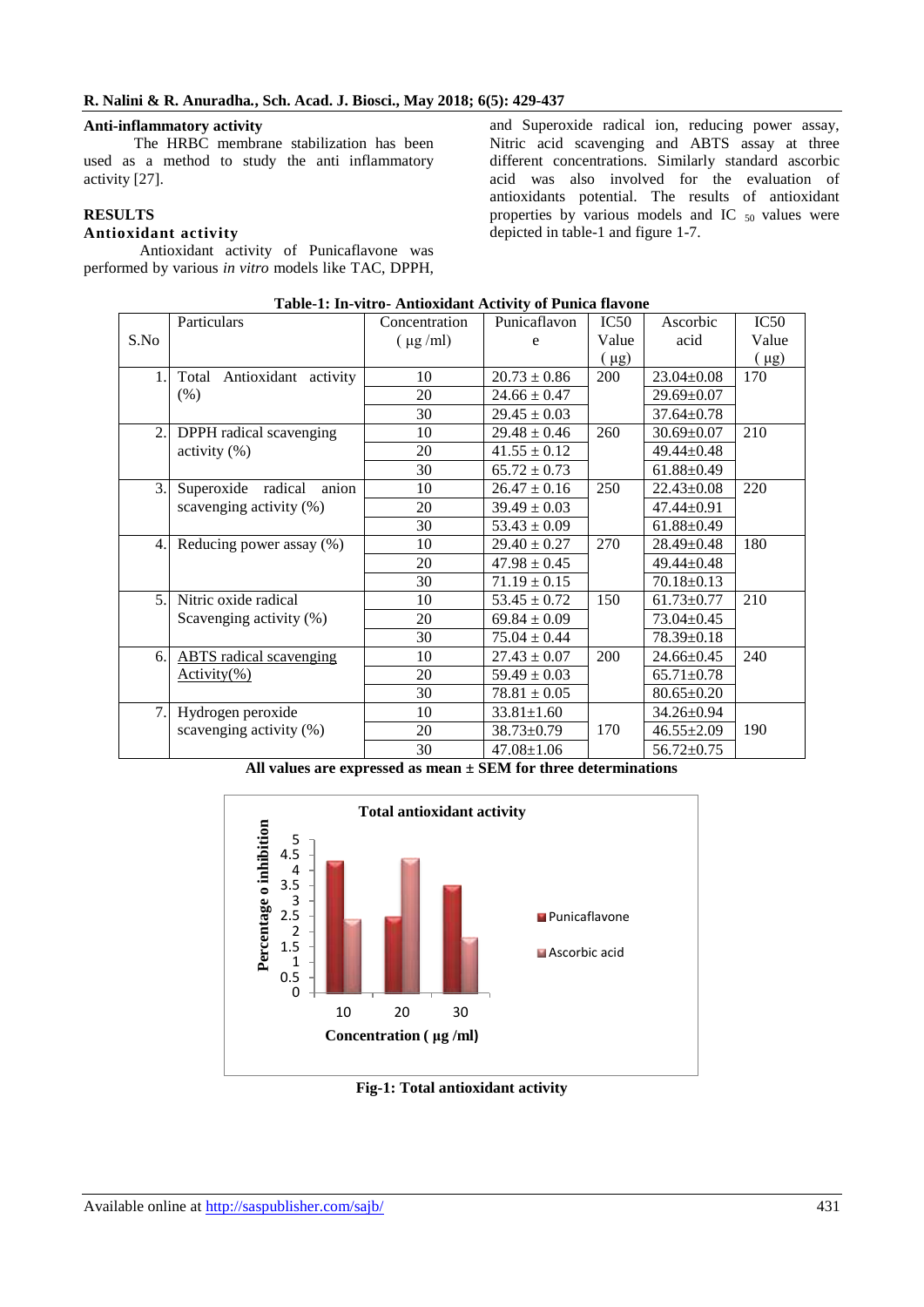#### **Anti-inflammatory activity**

The HRBC membrane stabilization has been used as a method to study the anti inflammatory activity [27].

# **RESULTS**

# **Antioxidant activity**

Antioxidant activity of Punicaflavone was performed by various *in vitro* models like TAC, DPPH,

and Superoxide radical ion, reducing power assay, Nitric acid scavenging and ABTS assay at three different concentrations. Similarly standard ascorbic acid was also involved for the evaluation of antioxidants potential. The results of antioxidant properties by various models and IC  $_{50}$  values were depicted in table-1 and figure 1-7.

|      | Particulars                    | Concentration | Punicaflavon     | IC50       | Ascorbic         | IC50      |
|------|--------------------------------|---------------|------------------|------------|------------------|-----------|
| S.No |                                | $(\mu g/ml)$  | e                | Value      | acid             | Value     |
|      |                                |               |                  | ( µg)      |                  | $(\mu g)$ |
| 1.   | Antioxidant activity<br>Total  | 10            | $20.73 \pm 0.86$ | <b>200</b> | $23.04 \pm 0.08$ | 170       |
|      | (% )                           | 20            | $24.66 \pm 0.47$ |            | $29.69 \pm 0.07$ |           |
|      |                                | 30            | $29.45 \pm 0.03$ |            | $37.64 \pm 0.78$ |           |
| 2.   | DPPH radical scavenging        | 10            | $29.48 \pm 0.46$ | 260        | $30.69 \pm 0.07$ | 210       |
|      | activity $(\%)$                | 20            | $41.55 \pm 0.12$ |            | $49.44 \pm 0.48$ |           |
|      |                                | 30            | $65.72 \pm 0.73$ |            | $61.88 \pm 0.49$ |           |
| 3.   | anion<br>Superoxide radical    | 10            | $26.47 \pm 0.16$ | 250        | $22.43 \pm 0.08$ | 220       |
|      | scavenging activity (%)        | 20            | $39.49 \pm 0.03$ |            | 47.44±0.91       |           |
|      |                                | 30            | $53.43 \pm 0.09$ |            | $61.88 \pm 0.49$ |           |
| 4.   | Reducing power assay (%)       | 10            | $29.40 \pm 0.27$ | 270        | $28.49 \pm 0.48$ | 180       |
|      |                                | 20            | $47.98 \pm 0.45$ |            | 49.44±0.48       |           |
|      |                                | 30            | $71.19 \pm 0.15$ |            | $70.18 \pm 0.13$ |           |
| 5.   | Nitric oxide radical           | 10            | $53.45 \pm 0.72$ | 150        | $61.73 \pm 0.77$ | 210       |
|      | Scavenging activity (%)        | 20            | $69.84 \pm 0.09$ |            | $73.04 \pm 0.45$ |           |
|      |                                | 30            | $75.04 \pm 0.44$ |            | $78.39 \pm 0.18$ |           |
| 6.   | <b>ABTS</b> radical scavenging | 10            | $27.43 \pm 0.07$ | 200        | $24.66 \pm 0.45$ | 240       |
|      | $Activity(\% )$                | 20            | $59.49 \pm 0.03$ |            | $65.71 \pm 0.78$ |           |
|      |                                | 30            | $78.81 \pm 0.05$ |            | $80.65 \pm 0.20$ |           |
| 7.   | Hydrogen peroxide              | 10            | $33.81 \pm 1.60$ |            | 34.26±0.94       |           |
|      | scavenging activity (%)        | 20            | $38.73 \pm 0.79$ | 170        | $46.55 \pm 2.09$ | 190       |
|      |                                | 30            | $47.08 \pm 1.06$ |            | $56.72 \pm 0.75$ |           |

| Table-1: In-vitro- Antioxidant Activity of Punica flavone |  |
|-----------------------------------------------------------|--|
|-----------------------------------------------------------|--|

**All values are expressed as mean ± SEM for three determinations**



**Fig-1: Total antioxidant activity**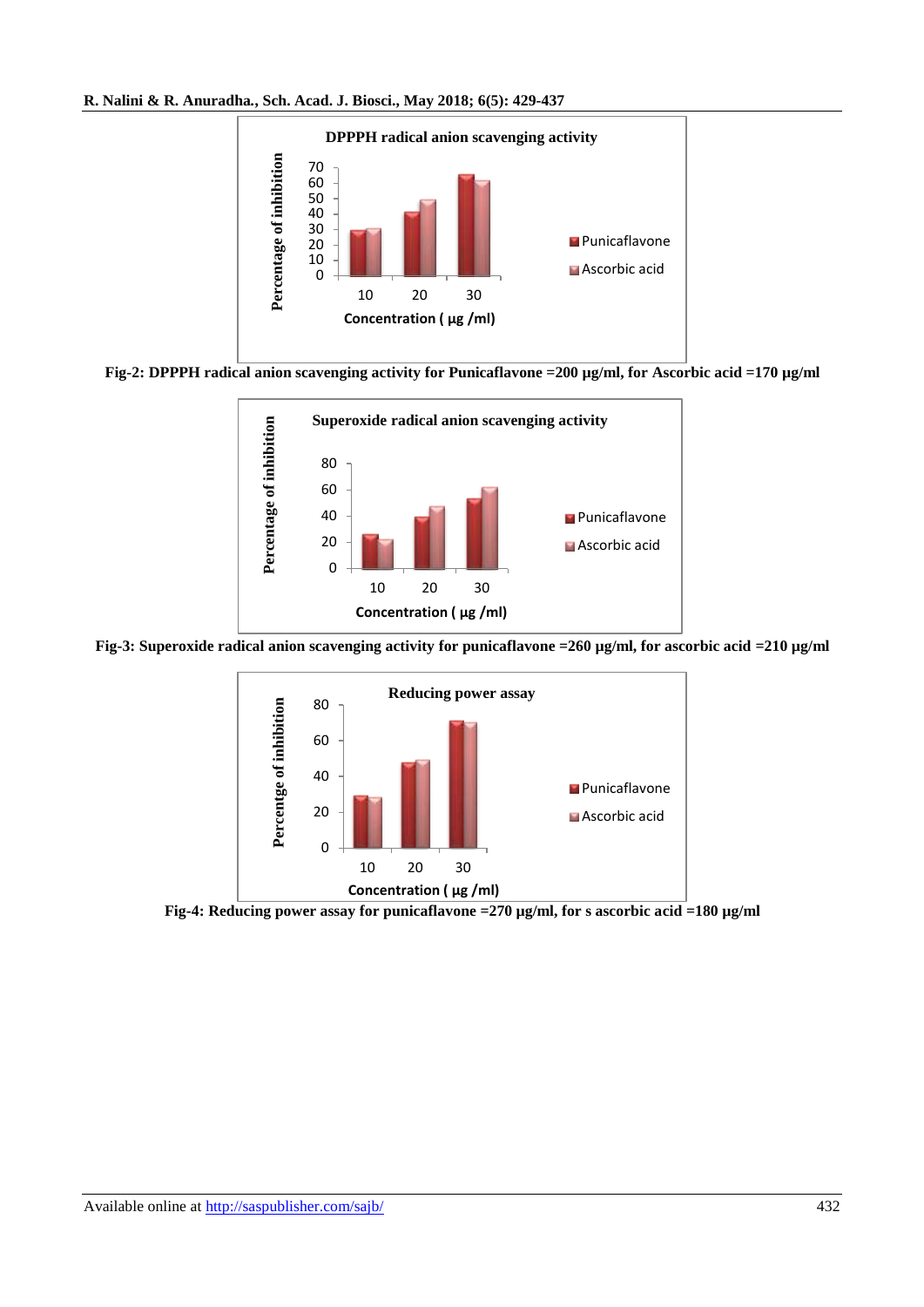



**Fig-2: DPPPH radical anion scavenging activity for Punicaflavone =200 µg/ml, for Ascorbic acid =170 µg/ml**



**Fig-3: Superoxide radical anion scavenging activity for punicaflavone =260 µg/ml, for ascorbic acid =210 µg/ml**



**Fig-4: Reducing power assay for punicaflavone =270 µg/ml, for s ascorbic acid =180 µg/ml**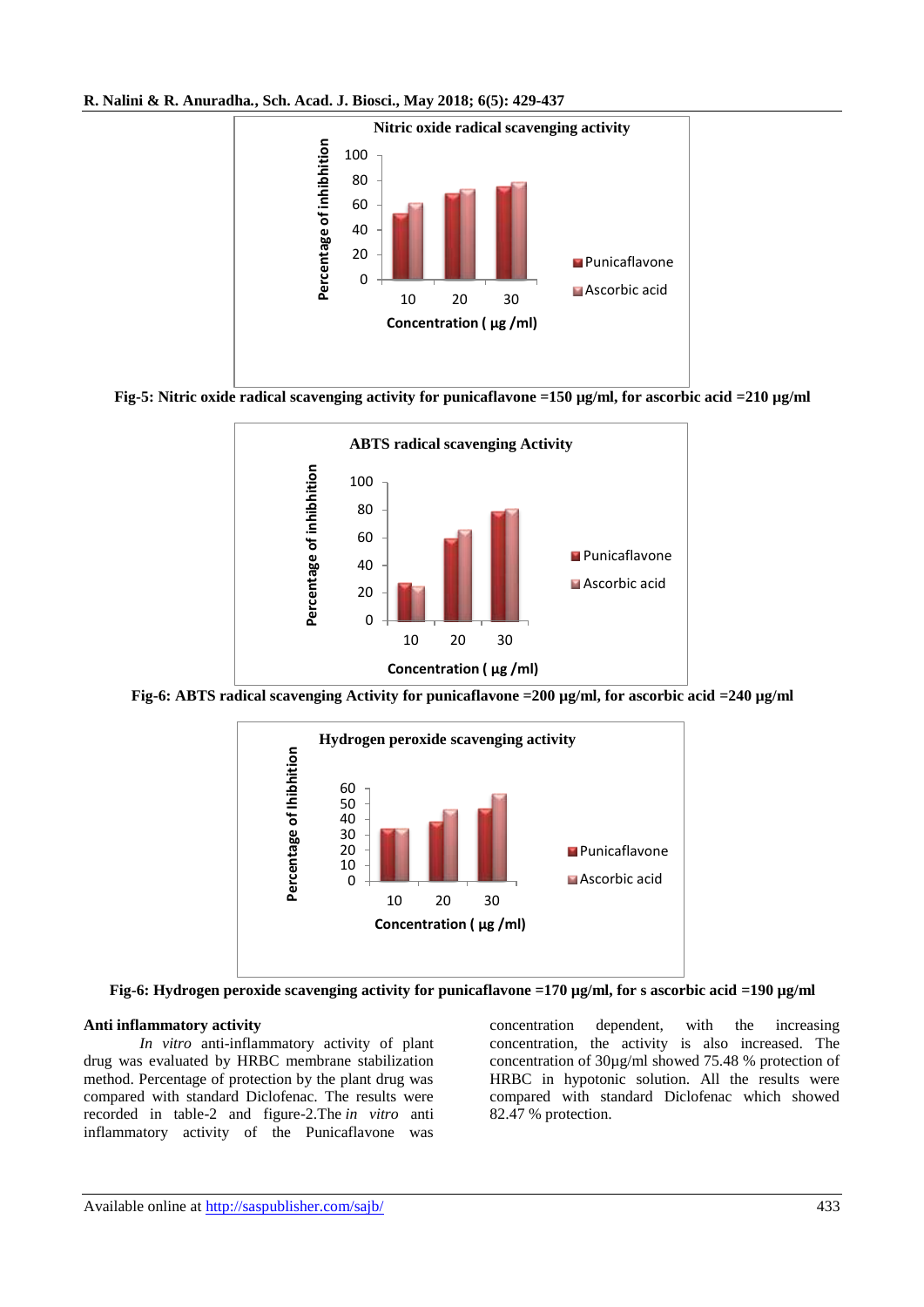**R. Nalini & R. Anuradha***.***, Sch. Acad. J. Biosci., May 2018; 6(5): 429-437**



**Fig-5: Nitric oxide radical scavenging activity for punicaflavone =150 µg/ml, for ascorbic acid =210 µg/ml**



**Fig-6: ABTS radical scavenging Activity for punicaflavone =200 µg/ml, for ascorbic acid =240 µg/ml**



**Fig-6: Hydrogen peroxide scavenging activity for punicaflavone =170 µg/ml, for s ascorbic acid =190 µg/ml**

#### **Anti inflammatory activity**

*In vitro* anti-inflammatory activity of plant drug was evaluated by HRBC membrane stabilization method. Percentage of protection by the plant drug was compared with standard Diclofenac. The results were recorded in table-2 and figure-2.The *in vitro* anti inflammatory activity of the Punicaflavone was

concentration dependent, with the increasing concentration, the activity is also increased. The concentration of 30µg/ml showed 75.48 % protection of HRBC in hypotonic solution. All the results were compared with standard Diclofenac which showed 82.47 % protection.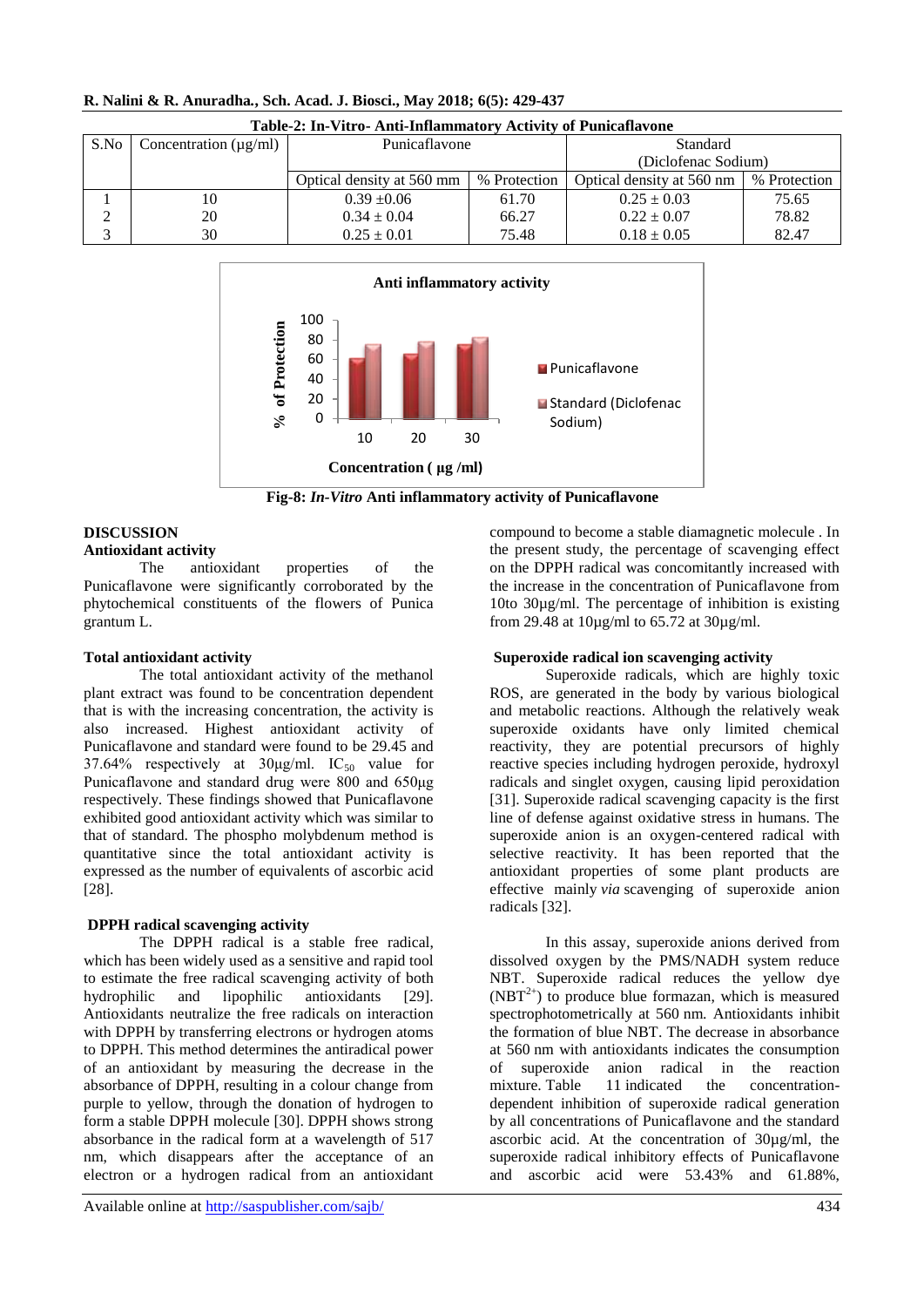| Table-2; In-Vitro- Anu-Innaminatory Activity of Punicaliavone |                                  |                           |              |                           |              |  |  |  |  |  |
|---------------------------------------------------------------|----------------------------------|---------------------------|--------------|---------------------------|--------------|--|--|--|--|--|
|                                                               | S.No Concentration ( $\mu$ g/ml) | Punicaflavone             |              | Standard                  |              |  |  |  |  |  |
|                                                               |                                  |                           |              | (Diclofenac Sodium)       |              |  |  |  |  |  |
|                                                               |                                  | Optical density at 560 mm | % Protection | Optical density at 560 nm | % Protection |  |  |  |  |  |
|                                                               | 10                               | $0.39 + 0.06$             | 61.70        | $0.25 \pm 0.03$           | 75.65        |  |  |  |  |  |
| ⌒                                                             | 20                               | $0.34 \pm 0.04$           | 66.27        | $0.22 \pm 0.07$           | 78.82        |  |  |  |  |  |
|                                                               | 30                               | $0.25 \pm 0.01$           | 75.48        | $0.18 \pm 0.05$           | 82.47        |  |  |  |  |  |

#### **R. Nalini & R. Anuradha***.***, Sch. Acad. J. Biosci., May 2018; 6(5): 429-437**



**Table-2: In-Vitro- Anti-Inflammatory Activity of Punicaflavone**

**Fig-8:** *In-Vitro* **Anti inflammatory activity of Punicaflavone**

#### **DISCUSSION**

#### **Antioxidant activity**

The antioxidant properties of the Punicaflavone were significantly corroborated by the phytochemical constituents of the flowers of Punica grantum L.

#### **Total antioxidant activity**

The total antioxidant activity of the methanol plant extract was found to be concentration dependent that is with the increasing concentration, the activity is also increased. Highest antioxidant activity of Punicaflavone and standard were found to be 29.45 and 37.64% respectively at  $30\mu g/ml$ . IC<sub>50</sub> value for Punicaflavone and standard drug were 800 and 650μg respectively. These findings showed that Punicaflavone exhibited good antioxidant activity which was similar to that of standard. The phospho molybdenum method is quantitative since the total antioxidant activity is expressed as the number of equivalents of ascorbic acid [28].

## **DPPH radical scavenging activity**

The DPPH radical is a stable free radical, which has been widely used as a sensitive and rapid tool to estimate the free radical scavenging activity of both hydrophilic and lipophilic antioxidants [29]. Antioxidants neutralize the free radicals on interaction with DPPH by transferring electrons or hydrogen atoms to DPPH. This method determines the antiradical power of an antioxidant by measuring the decrease in the absorbance of DPPH, resulting in a colour change from purple to yellow, through the donation of hydrogen to form a stable DPPH molecule [30]. DPPH shows strong absorbance in the radical form at a wavelength of 517 nm, which disappears after the acceptance of an electron or a hydrogen radical from an antioxidant

compound to become a stable diamagnetic molecule . In the present study, the percentage of scavenging effect on the DPPH radical was concomitantly increased with the increase in the concentration of Punicaflavone from 10to 30µg/ml. The percentage of inhibition is existing from 29.48 at 10µg/ml to 65.72 at 30µg/ml.

#### **Superoxide radical ion scavenging activity**

Superoxide radicals, which are highly toxic ROS, are generated in the body by various biological and metabolic reactions. Although the relatively weak superoxide oxidants have only limited chemical reactivity, they are potential precursors of highly reactive species including hydrogen peroxide, hydroxyl radicals and singlet oxygen, causing lipid peroxidation [31]. Superoxide radical scavenging capacity is the first line of defense against oxidative stress in humans. The superoxide anion is an oxygen-centered radical with selective reactivity. It has been reported that the antioxidant properties of some plant products are effective mainly *via* scavenging of superoxide anion radicals [32].

In this assay, superoxide anions derived from dissolved oxygen by the PMS/NADH system reduce NBT. Superoxide radical reduces the yellow dye  $(NBT<sup>2+</sup>)$  to produce blue formazan, which is measured spectrophotometrically at 560 nm. Antioxidants inhibit the formation of blue NBT. The decrease in absorbance at 560 nm with antioxidants indicates the consumption of superoxide anion radical in the reaction mixture. [Table](https://www.tandfonline.com/doi/full/10.1080/21553769.2014.1002943#F0003) 11 indicated the concentrationdependent inhibition of superoxide radical generation by all concentrations of Punicaflavone and the standard ascorbic acid. At the concentration of 30µg/ml, the superoxide radical inhibitory effects of Punicaflavone and ascorbic acid were 53.43% and 61.88%,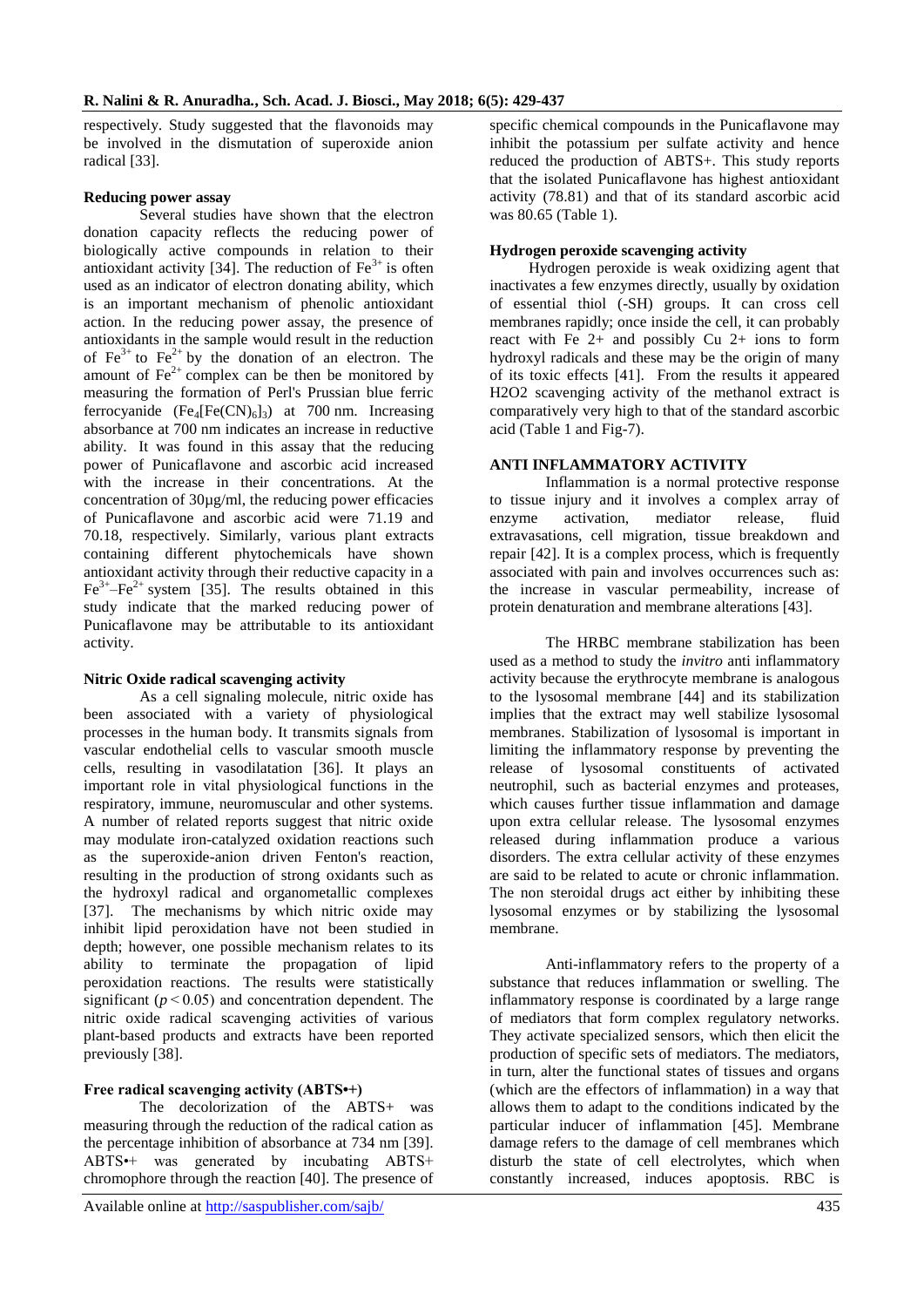respectively. Study suggested that the flavonoids may be involved in the dismutation of superoxide anion radical [33].

#### **Reducing power assay**

Several studies have shown that the electron donation capacity reflects the reducing power of biologically active compounds in relation to their antioxidant activity [34]. The reduction of  $Fe<sup>3+</sup>$  is often used as an indicator of electron donating ability, which is an important mechanism of phenolic antioxidant action. In the reducing power assay, the presence of antioxidants in the sample would result in the reduction of  $Fe^{3+}$  to  $Fe^{2+}$  by the donation of an electron. The amount of  $Fe^{2+}$  complex can be then be monitored by measuring the formation of Perl's Prussian blue ferric ferrocyanide  $(Fe_4[Fe(CN)_6]_3)$  at 700 nm. Increasing absorbance at 700 nm indicates an increase in reductive ability. It was found in this assay that the reducing power of Punicaflavone and ascorbic acid increased with the increase in their concentrations. At the concentration of 30µg/ml, the reducing power efficacies of Punicaflavone and ascorbic acid were 71.19 and 70.18, respectively. Similarly, various plant extracts containing different phytochemicals have shown antioxidant activity through their reductive capacity in a  $Fe^{3+} - Fe^{2+}$  system [35]. The results obtained in this study indicate that the marked reducing power of Punicaflavone may be attributable to its antioxidant activity.

#### **Nitric Oxide radical scavenging activity**

As a cell signaling molecule, nitric oxide has been associated with a variety of physiological processes in the human body. It transmits signals from vascular endothelial cells to vascular smooth muscle cells, resulting in vasodilatation [36]. It plays an important role in vital physiological functions in the respiratory, immune, neuromuscular and other systems. A number of related reports suggest that nitric oxide may modulate iron-catalyzed oxidation reactions such as the superoxide-anion driven Fenton's reaction, resulting in the production of strong oxidants such as the hydroxyl radical and organometallic complexes [37]. The mechanisms by which nitric oxide may inhibit lipid peroxidation have not been studied in depth; however, one possible mechanism relates to its ability to terminate the propagation of lipid peroxidation reactions. The results were statistically significant  $(p < 0.05)$  and concentration dependent. The nitric oxide radical scavenging activities of various plant-based products and extracts have been reported previously [38].

#### **Free radical scavenging activity (ABTS•+)**

The decolorization of the ABTS+ was measuring through the reduction of the radical cation as the percentage inhibition of absorbance at 734 nm [39]. ABTS•+ was generated by incubating ABTS+ chromophore through the reaction [40]. The presence of specific chemical compounds in the Punicaflavone may inhibit the potassium per sulfate activity and hence reduced the production of ABTS+. This study reports that the isolated Punicaflavone has highest antioxidant activity (78.81) and that of its standard ascorbic acid was 80.65 (Table 1).

### **Hydrogen peroxide scavenging activity**

 Hydrogen peroxide is weak oxidizing agent that inactivates a few enzymes directly, usually by oxidation of essential thiol (-SH) groups. It can cross cell membranes rapidly; once inside the cell, it can probably react with Fe  $2+$  and possibly Cu  $2+$  ions to form hydroxyl radicals and these may be the origin of many of its toxic effects [41]. From the results it appeared H2O2 scavenging activity of the methanol extract is comparatively very high to that of the standard ascorbic acid (Table 1 and Fig-7).

## **ANTI INFLAMMATORY ACTIVITY**

Inflammation is a normal protective response to tissue injury and it involves a complex array of enzyme activation, mediator release, fluid extravasations, cell migration, tissue breakdown and repair [42]. It is a complex process, which is frequently associated with pain and involves occurrences such as: the increase in vascular permeability, increase of protein denaturation and membrane alterations [43].

The HRBC membrane stabilization has been used as a method to study the *invitro* anti inflammatory activity because the erythrocyte membrane is analogous to the lysosomal membrane [44] and its stabilization implies that the extract may well stabilize lysosomal membranes. Stabilization of lysosomal is important in limiting the inflammatory response by preventing the release of lysosomal constituents of activated neutrophil, such as bacterial enzymes and proteases, which causes further tissue inflammation and damage upon extra cellular release. The lysosomal enzymes released during inflammation produce a various disorders. The extra cellular activity of these enzymes are said to be related to acute or chronic inflammation. The non steroidal drugs act either by inhibiting these lysosomal enzymes or by stabilizing the lysosomal membrane.

Anti-inflammatory refers to the property of a substance that reduces inflammation or swelling. The inflammatory response is coordinated by a large range of mediators that form complex regulatory networks. They activate specialized sensors, which then elicit the production of specific sets of mediators. The mediators, in turn, alter the functional states of tissues and organs (which are the effectors of inflammation) in a way that allows them to adapt to the conditions indicated by the particular inducer of inflammation [45]. Membrane damage refers to the damage of cell membranes which disturb the state of cell electrolytes, which when constantly increased, induces apoptosis. RBC is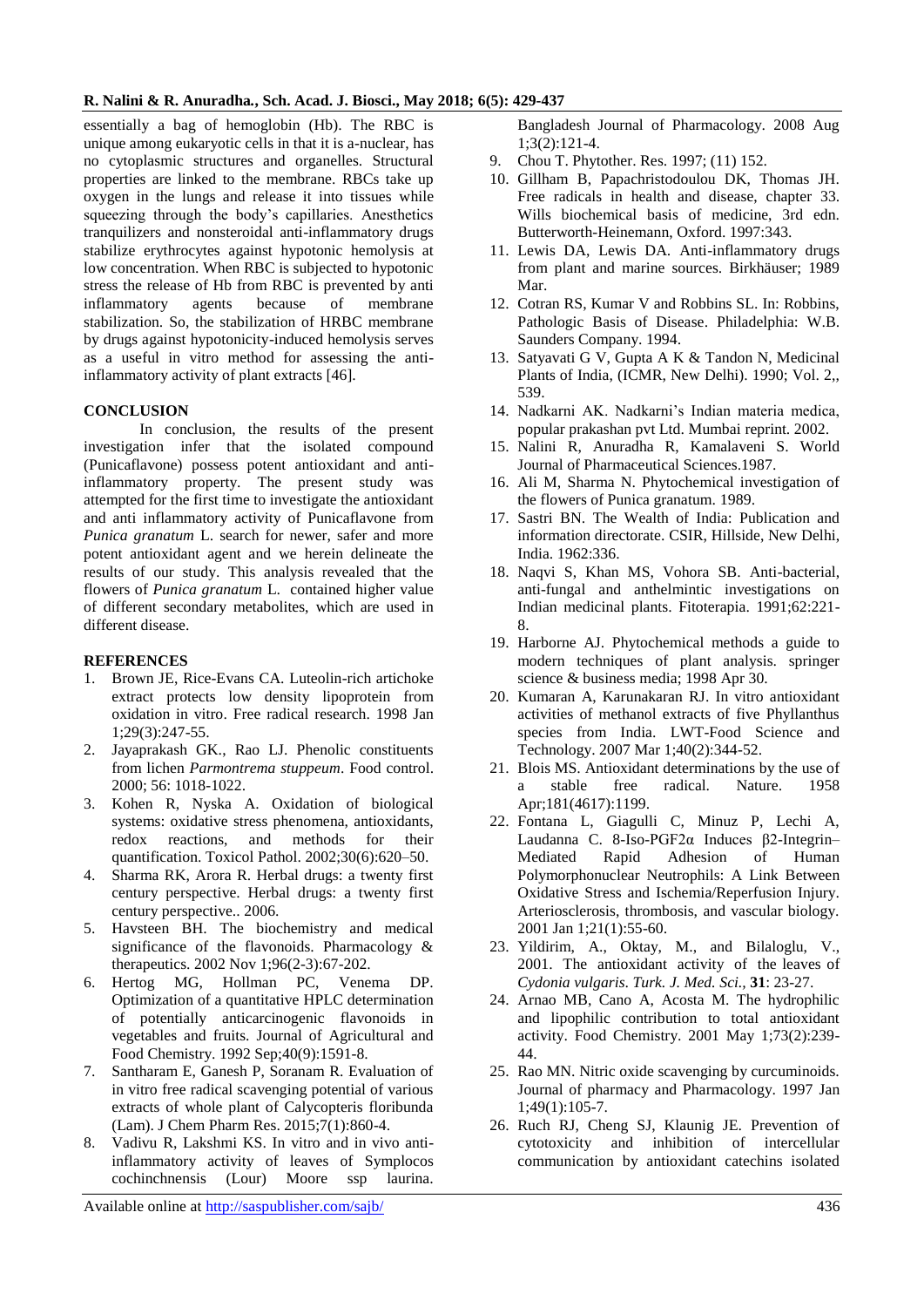#### **R. Nalini & R. Anuradha***.***, Sch. Acad. J. Biosci., May 2018; 6(5): 429-437**

essentially a bag of hemoglobin (Hb). The RBC is unique among eukaryotic cells in that it is a-nuclear, has no cytoplasmic structures and organelles. Structural properties are linked to the membrane. RBCs take up oxygen in the lungs and release it into tissues while squeezing through the body's capillaries. Anesthetics tranquilizers and nonsteroidal anti-inflammatory drugs stabilize erythrocytes against hypotonic hemolysis at low concentration. When RBC is subjected to hypotonic stress the release of Hb from RBC is prevented by anti inflammatory agents because of membrane stabilization. So, the stabilization of HRBC membrane by drugs against hypotonicity-induced hemolysis serves as a useful in vitro method for assessing the antiinflammatory activity of plant extracts [46].

#### **CONCLUSION**

In conclusion, the results of the present investigation infer that the isolated compound (Punicaflavone) possess potent antioxidant and antiinflammatory property. The present study was attempted for the first time to investigate the antioxidant and anti inflammatory activity of Punicaflavone from *Punica granatum* L. search for newer, safer and more potent antioxidant agent and we herein delineate the results of our study. This analysis revealed that the flowers of *Punica granatum* L. contained higher value of different secondary metabolites, which are used in different disease.

#### **REFERENCES**

- 1. Brown JE, Rice-Evans CA. Luteolin-rich artichoke extract protects low density lipoprotein from oxidation in vitro. Free radical research. 1998 Jan 1;29(3):247-55.
- 2. Jayaprakash GK., Rao LJ. Phenolic constituents from lichen *Parmontrema stuppeum*. Food control. 2000; 56: 1018-1022.
- 3. Kohen R, Nyska A. Oxidation of biological systems: oxidative stress phenomena, antioxidants, redox reactions, and methods for their quantification. Toxicol Pathol. 2002;30(6):620–50.
- 4. Sharma RK, Arora R. Herbal drugs: a twenty first century perspective. Herbal drugs: a twenty first century perspective.. 2006.
- 5. Havsteen BH. The biochemistry and medical significance of the flavonoids. Pharmacology & therapeutics. 2002 Nov 1;96(2-3):67-202.
- 6. Hertog MG, Hollman PC, Venema DP. Optimization of a quantitative HPLC determination of potentially anticarcinogenic flavonoids in vegetables and fruits. Journal of Agricultural and Food Chemistry. 1992 Sep;40(9):1591-8.
- 7. Santharam E, Ganesh P, Soranam R. Evaluation of in vitro free radical scavenging potential of various extracts of whole plant of Calycopteris floribunda (Lam). J Chem Pharm Res. 2015;7(1):860-4.
- 8. Vadivu R, Lakshmi KS. In vitro and in vivo antiinflammatory activity of leaves of Symplocos cochinchnensis (Lour) Moore ssp laurina.

Available online at<http://saspublisher.com/sajb/> 436

Bangladesh Journal of Pharmacology. 2008 Aug 1;3(2):121-4.

- 9. Chou T. Phytother. Res. 1997; (11) 152.
- 10. Gillham B, Papachristodoulou DK, Thomas JH. Free radicals in health and disease, chapter 33. Wills biochemical basis of medicine, 3rd edn. Butterworth-Heinemann, Oxford. 1997:343.
- 11. Lewis DA, Lewis DA. Anti-inflammatory drugs from plant and marine sources. Birkhäuser; 1989 Mar.
- 12. Cotran RS, Kumar V and Robbins SL. In: Robbins, Pathologic Basis of Disease. Philadelphia: W.B. Saunders Company. 1994.
- 13. Satyavati G V, Gupta A K & Tandon N, Medicinal Plants of India, (ICMR, New Delhi). 1990; Vol. 2,, 539.
- 14. Nadkarni AK. Nadkarni's Indian materia medica, popular prakashan pvt Ltd. Mumbai reprint. 2002.
- 15. Nalini R, Anuradha R, Kamalaveni S. World Journal of Pharmaceutical Sciences.1987.
- 16. Ali M, Sharma N. Phytochemical investigation of the flowers of Punica granatum. 1989.
- 17. Sastri BN. The Wealth of India: Publication and information directorate. CSIR, Hillside, New Delhi, India. 1962:336.
- 18. Naqvi S, Khan MS, Vohora SB. Anti-bacterial, anti-fungal and anthelmintic investigations on Indian medicinal plants. Fitoterapia. 1991;62:221- 8.
- 19. Harborne AJ. Phytochemical methods a guide to modern techniques of plant analysis. springer science & business media; 1998 Apr 30.
- 20. Kumaran A, Karunakaran RJ. In vitro antioxidant activities of methanol extracts of five Phyllanthus species from India. LWT-Food Science and Technology. 2007 Mar 1;40(2):344-52.
- 21. Blois MS. Antioxidant determinations by the use of a stable free radical. Nature. 1958 Apr;181(4617):1199.
- 22. Fontana L, Giagulli C, Minuz P, Lechi A, Laudanna C. 8-Iso-PGF2α Induces β2-Integrin– Mediated Rapid Adhesion of Human Polymorphonuclear Neutrophils: A Link Between Oxidative Stress and Ischemia/Reperfusion Injury. Arteriosclerosis, thrombosis, and vascular biology. 2001 Jan 1;21(1):55-60.
- 23. Yildirim, A., Oktay, M., and Bilaloglu, V., 2001. The antioxidant activity of the leaves of *Cydonia vulgaris*. *Turk. J. Med. Sci.,* **31**: 23-27.
- 24. Arnao MB, Cano A, Acosta M. The hydrophilic and lipophilic contribution to total antioxidant activity. Food Chemistry. 2001 May 1;73(2):239- 44.
- 25. Rao MN. Nitric oxide scavenging by curcuminoids. Journal of pharmacy and Pharmacology. 1997 Jan 1;49(1):105-7.
- 26. Ruch RJ, Cheng SJ, Klaunig JE. Prevention of cytotoxicity and inhibition of intercellular communication by antioxidant catechins isolated